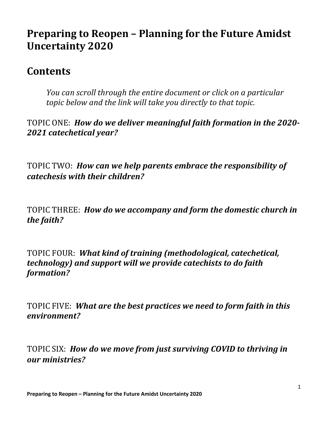# **Preparing to Reopen – Planning for the Future Amidst Uncertainty 2020**

# **Contents**

*You can scroll through the entire document or click on a particular topic below and the link will take you directly to that topic.* 

TOPIC ONE: *How do we deliver meaningful faith formation in the 2020- 2021 catechetical year?*

TOPIC TWO: *[How can we help parents embrace the responsibility of](#page-1-0)  catechesis with their children?* 

TOPIC THREE: *[How do we accompany and form the domestic church in](#page-2-0)  the faith?* 

TOPIC FOUR: *What kind of training (methodological, catechetical, [technology\) and support will we provide catechists to do faith](#page-3-0)  formation?* 

TOPIC FIVE: *[What are the best practices we need to form faith in this](#page-5-0)  environment?*

TOPIC SIX: *[How do we move from just surviving COVID to thriving in](#page-7-0)  our ministries?*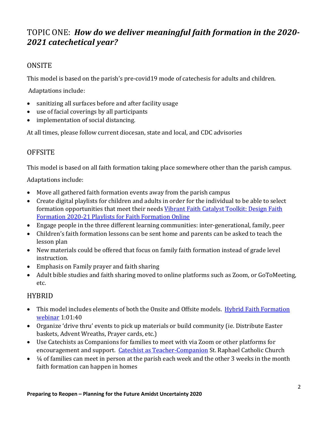### <span id="page-1-0"></span>TOPIC ONE: *How do we deliver meaningful faith formation in the 2020- 2021 catechetical year?*

#### **ONSITE**

This model is based on the parish's pre-covid19 mode of catechesis for adults and children.

Adaptations include:

- sanitizing all surfaces before and after facility usage
- use of facial coverings by all participants
- implementation of social distancing.

At all times, please follow current diocesan, state and local, and CDC advisories

### **OFFSITE**

This model is based on all faith formation taking place somewhere other than the parish campus.

Adaptations include:

- Move all gathered faith formation events away from the parish campus
- Create digital playlists for children and adults in order for the individual to be able to select formation opportunities that meet their needs Vibrant Faith Catalyst Toolkit: Design Faith [Formation 2020-21 Playlists for Faith Formation Online](https://vibrant-faith-catalyst.mn.co/posts/toolkit-design-faith-formation-2020-21-playlists-for-faith-formation-online)
- Engage people in the three different learning communities: inter-generational, family, peer
- Children's faith formation lessons can be sent home and parents can be asked to teach the lesson plan
- New materials could be offered that focus on family faith formation instead of grade level instruction.
- Emphasis on Family prayer and faith sharing
- Adult bible studies and faith sharing moved to online platforms such as Zoom, or GoToMeeting, etc.

#### HYBRID

- This model includes elements of both the Onsite and Offsite models. Hybrid Faith Formation [webinar](https://youtu.be/-gf8NVZMhEU) 1:01:40
- Organize 'drive thru' events to pick up materials or build community (ie. Distribute Easter baskets, Advent Wreaths, Prayer cards, etc.)
- Use Catechists as Companions for families to meet with via Zoom or other platforms for encouragement and support. [Catechist as Teacher-Companion](http://www.st-raphaels.com/media/1/30/Catechist%20As%20Teacher-Companion.pdf) St. Raphael Catholic Church
- $\bullet$   $\frac{1}{4}$  of families can meet in person at the parish each week and the other 3 weeks in the month faith formation can happen in homes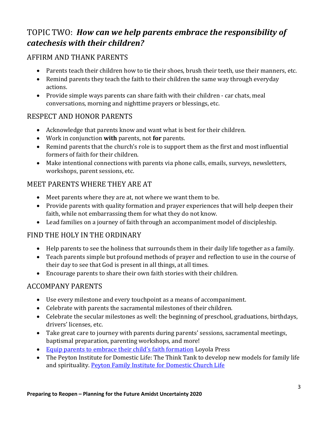# <span id="page-2-0"></span>TOPIC TWO: *How can we help parents embrace the responsibility of catechesis with their children?*

#### AFFIRM AND THANK PARENTS

- Parents teach their children how to tie their shoes, brush their teeth, use their manners, etc.
- Remind parents they teach the faith to their children the same way through everyday actions.
- Provide simple ways parents can share faith with their children car chats, meal conversations, morning and nighttime prayers or blessings, etc.

#### RESPECT AND HONOR PARENTS

- Acknowledge that parents know and want what is best for their children.
- Work in conjunction **with** parents, not **for** parents.
- Remind parents that the church's role is to support them as the first and most influential formers of faith for their children.
- Make intentional connections with parents via phone calls, emails, surveys, newsletters, workshops, parent sessions, etc.

#### MEET PARENTS WHERE THEY ARE AT

- Meet parents where they are at, not where we want them to be.
- Provide parents with quality formation and prayer experiences that will help deepen their faith, while not embarrassing them for what they do not know.
- Lead families on a journey of faith through an accompaniment model of discipleship.

#### FIND THE HOLY IN THE ORDINARY

- Help parents to see the holiness that surrounds them in their daily life together as a family.
- Teach parents simple but profound methods of prayer and reflection to use in the course of their day to see that God is present in all things, at all times.
- Encourage parents to share their own faith stories with their children.

#### ACCOMPANY PARENTS

- Use every milestone and every touchpoint as a means of accompaniment.
- Celebrate with parents the sacramental milestones of their children.
- Celebrate the secular milestones as well: the beginning of preschool, graduations, birthdays, drivers' licenses, etc.
- Take great care to journey with parents during parents' sessions, sacramental meetings, baptismal preparation, parenting workshops, and more!
- [Equip parents to embrace their child's faith formation](https://www.loyolapress.com/catholic-resources/parish-ministry/advancing-ministry-skills/equip-parents-to-embrace-their-childs-faith-formation/) Loyola Press
- The Peyton Institute for Domestic Life: The Think Tank to develop new models for family life and spirituality. Peyton [Family Institute for Domestic Church Life](https://www.peytonfamilyinstitute.org/)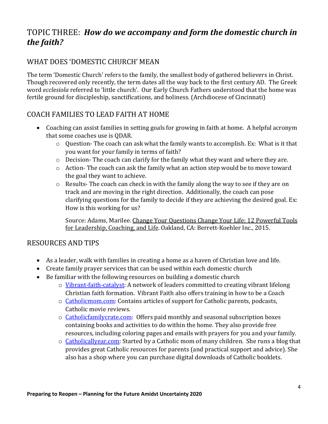### <span id="page-3-0"></span>TOPIC THREE: *How do we accompany and form the domestic church in the faith?*

#### WHAT DOES 'DOMESTIC CHURCH' MEAN

The term 'Domestic Church' refers to the family, the smallest body of gathered believers in Christ. Though recovered only recently, the term dates all the way back to the first century AD. The Greek word *ecclesiola* referred to 'little church'. Our Early Church Fathers understood that the home was fertile ground for discipleship, sanctifications, and holiness. (Archdiocese of Cincinnati)

#### COACH FAMILIES TO LEAD FAITH AT HOME

- Coaching can assist families in setting goals for growing in faith at home. A helpful acronym that some coaches use is QDAR.
	- o Question- The coach can ask what the family wants to accomplish. Ex: What is it that you want for your family in terms of faith?
	- o Decision- The coach can clarify for the family what they want and where they are.
	- o Action- The coach can ask the family what an action step would be to move toward the goal they want to achieve.
	- $\circ$  Results-The coach can check in with the family along the way to see if they are on track and are moving in the right direction. Additionally, the coach can pose clarifying questions for the family to decide if they are achieving the desired goal. Ex: How is this working for us?

Source: Adams, Marilee. Change Your Questions Change Your Life: 12 Powerful Tools for Leadership, Coaching, and Life. Oakland, CA: Berrett-Koehler Inc., 2015.

#### RESOURCES AND TIPS

- As a leader, walk with families in creating a home as a haven of Christian love and life.
- Create family prayer services that can be used within each domestic church
- Be familiar with the following resources on building a domestic church
	- o [Vibrant-faith-catalyst:](https://vibrant-faith-catalyst.mn.co/feed) A network of leaders committed to creating vibrant lifelong Christian faith formation. Vibrant Faith also offers training in how to be a Coach
	- o [Catholicmom.com:](http://www.catholicmom.com/) Contains articles of support for Catholic parents, podcasts, Catholic movie reviews.
	- o [Catholicfamilycrate.com:](https://catholicfamilycrate.com/) Offers paid monthly and seasonal subscription boxes containing books and activities to do within the home. They also provide free resources, including coloring pages and emails with prayers for you and your family.
	- o [Catholicallyear.com:](https://catholicallyear.com/) Started by a Catholic mom of many children. She runs a blog that provides great Catholic resources for parents (and practical support and advice). She also has a shop where you can purchase digital downloads of Catholic booklets.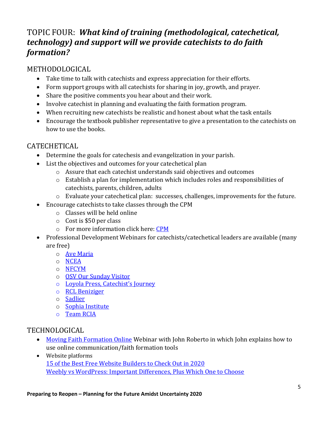## TOPIC FOUR: *What kind of training (methodological, catechetical, technology) and support will we provide catechists to do faith formation?*

#### METHODOLOGICAL

- Take time to talk with catechists and express appreciation for their efforts.
- Form support groups with all catechists for sharing in joy, growth, and prayer.
- Share the positive comments you hear about and their work.
- Involve catechist in planning and evaluating the faith formation program.
- When recruiting new catechists be realistic and honest about what the task entails
- Encourage the textbook publisher representative to give a presentation to the catechists on how to use the books.

#### **CATECHETICAL**

- Determine the goals for catechesis and evangelization in your parish.
- List the objectives and outcomes for your catechetical plan
	- o Assure that each catechist understands said objectives and outcomes
	- o Establish a plan for implementation which includes roles and responsibilities of catechists, parents, children, adults
	- $\circ$  Evaluate your catechetical plan: successes, challenges, improvements for the future.
- Encourage catechists to take classes through the CPM
	- o Classes will be held online
	- o Cost is \$50 per class
	- o For more information click here: [CPM](https://udallas.edu/ministry/academics/continuinged/pastoralministry_certificate/index.php)
- Professional Development Webinars for catechists/catechetical leaders are available (many are free)
	- o [Ave Maria](https://www.avemariapress.com/webinars/parish/)
	- o [NCEA](https://www.ncea.org/NCEA/Learn/Webinars/NCEA/Learn/Webinars.aspx)
	- o [NFCYM](https://nfcym.org/resources/webinars/)
	- o [OSV Our Sunday Visitor](https://www.osvcatholicbookstore.com/recordings)
	- o [Loyola Press, Catechist's Journey](https://catechistsjourney.loyolapress.com/webinars-2/)
	- o [RCL Beniziger](https://store.rclbenziger.com/content/free-resources)
	- o [Sadlier](https://www.sadlier.com/religion/resources/lifelong-learning-webinars)
	- o [Sophia Institute](https://sophiainstituteforteachers.org/ondemand#webinars)
	- o [Team RCIA](https://teamrcia.com/)

#### TECHNOLOGICAL

- [Moving Faith Formation Online](https://vimeo.com/400308191) Webinar with John Roberto in which John explains how to use online communication/faith formation tools
- Website platforms [15 of the Best Free Website Builders to Check Out in 2020](https://blog.hubspot.com/marketing/free-website-builders) [Weebly vs WordPress: Important Differences, Plus Which One to Choose](https://themeisle.com/blog/weebly-vs-wordpress/#:%7E:text=The%20main%20difference%20between%20Weebly,%2C%20while%20Weebly%20isn)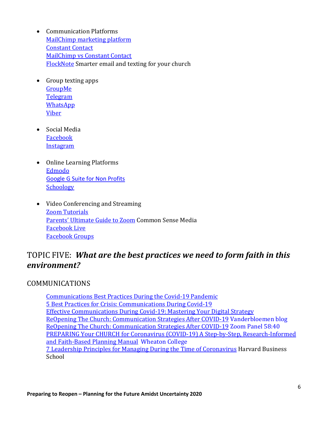- <span id="page-5-0"></span>• Communication Platforms [MailChimp marketing platform](https://mailchimp.com/?ds_rl=1276838&gclid=CjwKCAjwrcH3BRApEiwAxjdPTez6zAgKQ6XcNZOUJW-qSU2l_-iJVUynCEyOzBNY76SGJRHZkyap_RoClRsQAvD_BwE&gclsrc=aw.ds) [Constant Contact](https://www.constantcontact.com/index.jsp?cc=GOO-234736&utm_source=google&utm_medium=cpc&utm_content=Brand&pn=search&kid=_k_CjwKCAjwrcH3BRApEiwAxjdPTYvmtlUAVsk9Oshy-gFMer0aelvhjRjndMlrVPA7IZGnj9M-7xeCPBoCyuYQAvD_BwE_k_&IDA=CTCT%20IDA&gclid=CjwKCAjwrcH3BRApEiwAxjdPTYvmtlUAVsk9Oshy-gFMer0aelvhjRjndMlrVPA7IZGnj9M-7xeCPBoCyuYQAvD_BwE) [MailChimp vs Constant Contact](https://www.emailtooltester.com/en/blog/mailchimp-vs-constantcontact/#:%7E:text=MailChimp%20vs%20Constant%20Contact%3A%20Summary,-Constant%20Contact) [FlockNote](https://flocknote.com/) Smarter email and texting for your church
- Group texting apps [GroupMe](https://groupme.com/en-US/)  **[Telegram](https://telegram.org/) [WhatsApp](https://www.whatsapp.com/)** [Viber](https://www.viber.com/en/)
- Social Media [Facebook](https://www.facebook.com/facebook) **[Instagram](https://www.instagram.com/)**
- Online Learning Platforms [Edmodo](https://www.edmodo.com/) [Google G Suite for Non Profits](https://www.google.com/nonprofits/offerings/apps-for-nonprofits/) **[Schoology](https://www.schoology.com/)**
- Video Conferencing and Streaming [Zoom Tutorials](https://support.zoom.us/hc/en-us/articles/206618765-Zoom-video-tutorials) [Parents' Ultimate Guide to Zoom](https://www.commonsensemedia.org/blog/parents-ultimate-guide-to-zoom?j=7747250&sfmc_sub=179533631&l=2048712_HTML&u=144900351&mid=6409703&jb=366&utm_source=media_nl_20200417&utm_medium=email) Common Sense Media [Facebook Live](https://www.facebook.com/facebookmedia/solutions/facebook-live) [Facebook Groups](https://www.facebook.com/help/1629740080681586)

### TOPIC FIVE: *What are the best practices we need to form faith in this environment?*

#### COMMUNICATIONS

[Communications Best Practices During the Covid-19 Pandemic](https://www.tsne.org/blog/communications-best-practices-during-covid-19-pandemic) [5 Best Practices for Crisis: Communications During Covid-19](https://www.gainsight.com/blog/5-best-practices-for-crisis-communications-during-covid-19/) [Effective Communications During Covid-19: Mastering Your Digital Strategy](https://ccsfundraising.com/effective-communications-during-covid-19-mastering-your-digital-strategy/) [ReOpening The Church: Communication Strategies After COVID-19](https://www.vanderbloemen.com/blog/communication-strategies-after-covid19) Vanderbloemen blog [ReOpening The Church: Communication Strategies After COVID-19](https://www.vanderbloemen.com/blog/communication-strategies-after-covid19) Zoom Panel 58:40 [PREPARING Your CHURCH for Coronavirus \(COVID-19\) A Step-by-Step, Research-Informed](https://www.wheaton.edu/media/humanitarian-disaster-institute/Preparing-Your-Church-for-Coronavirus.pdf)  [and Faith-Based Planning Manual](https://www.wheaton.edu/media/humanitarian-disaster-institute/Preparing-Your-Church-for-Coronavirus.pdf) Wheaton College [7 Leadership Principles for Managing During the Time of Coronavirus](https://www.weforum.org/agenda/2020/04/7-leadership-principles-for-managing-in-the-time-of-coronavirus/) Harvard Business School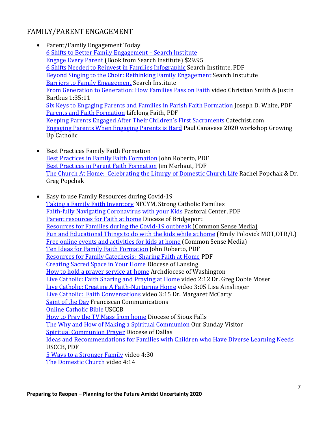#### FAMILY/PARENT ENGAGEMENT

- Parent/Family Engagement Today [6 Shifts to Better Family Engagement –](https://www.search-institute.org/six-shifts-better-family-engagement/) Search Institute [Engage Every Parent](https://www.search-institute.org/product/engage-every-parent-encouraging-families-to-sign-on-show-up-and-make-a-difference/) (Book from Search Institute) \$29.95 [6 Shifts Needed to Reinvest in Families Infographic](https://www.search-institute.org/wp-content/uploads/0201/09/Shift-Infographic.pdf) Search Institute, PDF [Beyond Singing to the Choir: Rethinking Family Engagement](https://www.search-institute.org/beyond-singing-choir-rethinking-family-engagement/) Search Instutute [Barriers to Family Engagement](https://keepconnected.searchinstitute.org/wp-content/uploads/2018/08/Family-engagement-barriers.png) Search Institute [From Generation to Generation: How Families Pass on Faith](https://www.youtube.com/watch?v=v0FzwlM5iLM&index=1&list=PLkTmWAOroyYuysIg-pdsXeXZHWkulvIE1&spfreload=10) video Christian Smith & Justin Bartkus 1:35:11 [Six Keys to Engaging Parents and Families in Parish Faith Formation](https://d2y1pz2y630308.cloudfront.net/17624/documents/2018/8/Six%20Keys.pdf) Joseph D. White, PDF [Parents and Faith Formation](https://www.lifelongfaith.com/uploads/5/1/6/4/5164069/lifelong_faith_journal_5.3.pdf) Lifelong Faith, PDF [Keeping Parents Engaged After Their Children's First Sacraments](https://www.catechist.com/keeping-parents-engaged-childrens-first-sacraments/) Catechist.com [Engaging Parents When Engaging Parents is Hard](http://products.pastoral.center/presentations/2020-nccl/index.html) Paul Canavese 2020 workshop Growing Up Catholic
- Best Practices Family Faith Formation [Best Practices in Family Faith Formation](https://faithformationlearningexchange.net/uploads/5/2/4/6/5246709/best_practices_in_family_faith_formation.pdf) John Roberto, PDF [Best Practices in Parent Faith Formation](https://bu.learninghouse.com/pluginfile.php/709481/mod_resource/content/2/Best%20Practices%20in%20Family%20Faith%20Formation.pdf) Jim Merhaut, PDF [The Church At Home: Celebrating the Liturgy of Domestic Church Life](https://www.patheos.com/blogs/faithonthecouch/2020/03/the-church-at-home-celebrating-the-liturgy-of-domestic-church-life/?fbclid=IwAR2kMrT_7a-8SJAKhz4ce_9KD4IluX4TmMWW2kbo9U-c8qzFOmQ-RukpJfc) Rachel Popchak & Dr. Greg Popchak
- Easy to use Family Resources during Covid-19 [Taking a Family Faith Inventory](https://nfcym.org/wp-content/uploads/2019/10/FamilyFaithInventory.pdf) NFCYM, Strong Catholic Families [Faith-fully Navigating Coronavirus with your Kids](http://products.pastoral.center/pc/pc105/1/download-covi/Coronavirus%20for%20Parents.pdf) Pastoral Center, PDF [Parent resources for Faith at home](https://formationreimagined.org/recommended-sites/parent-resources/) Diocese of Bridgeport [Resources for Families during the Covid-19 outbreak \(Common Sense Media\)](http://view.commonsense-email.org/?qs=5651c92ff8ba28babcecae7fa77d679486a89fce790dd11ff37791dadbd8bb2a9da7d046b074ade81e9b577a955333f000d99eb0a631e4513a0ee216ddd33c9aaeae7e7ff759d5b8507983fe2d392c3c42247ec239f0d12f) [Fun and Educational Things to do with the kids while at home](https://docs.google.com/spreadsheets/d/1E2Uxg7iz9YB6Zuf-Rd4fpxnA44nrK-AIyl-DmmiXiEA/edit#gid=0) (Emily Polovick MOT,OTR/L) [Free online events and activities for kids at home](https://www.commonsensemedia.org/blog/free-online-events-activities-kids-at-home-coronavirus?j=7711684&sfmc_sub=179533631&l=2048712_HTML&u=143747071&mid=6409703&jb=2159&utm_source=covid19_freeactivities_20200323&utm_medium=email) (Common Sense Media) [Ten Ideas for Family Faith Formation](https://media1-production.mightynetworks.com/asset/8510605/Ten_Ideas_for_Family_Faith_Formation.pdf) John Roberto, PDF [Resources for Family Catechesis: Sharing Faith at Home](https://www.rcan.org/sites/default/files/files/RESOURCESFAMILYCATECHESIS.pdf) PDF [Creating Sacred Space in Your Home](http://www.catholicfamilyfaith.org/resources-for-covid-19-and-stay-at-home-orders.html) Diocese of Lansing [How to hold a prayer service at-home](https://adw.org/wp-content/uploads/sites/2/2020/03/20Coronavirus-Prayer-Service-at-Home.pdf) Archdiocese of Washington [Live Catholic: Faith Sharing and Praying at Home](https://vimeo.com/121163349) video 2:12 Dr. Greg Dobie Moser [Live Catholic: Creating A Faith-Nurturing Home](https://vimeo.com/121163348) video 3:05 Lisa Ainslinger [Live Catholic: Faith Conversations](https://vimeo.com/121163347) video 3:15 Dr. Margaret McCarty [Saint of the Day](https://www.franciscanmedia.org/source/saint-of-the-day/) Franciscan Communications [Online Catholic Bible](http://www.usccb.org/bible/books-of-the-bible/index.cfm) USCCB [How to Pray the TV Mass from home](http://www.sfcatholic.org/familylife/wp-content/uploads/sites/21/2020/03/How-to-Pray-the-TV-Mass-from-Home.pdf) Diocese of Sioux Falls [The Why and How of Making a Spiritual Communion](https://www.osvnews.com/2020/03/14/the-why-and-how-of-making-a-spiritual-communion/) Our Sunday Visitor [Spiritual Communion Prayer](https://www.cathdal.org/masses) Diocese of Dallas [Ideas and Recommendations for Families with Children who Have Diverse Learning Needs](http://www.usccb.org/about/communications/upload/Ideas-and-Reflections-for-Parents.pdf) USCCB, PDF [5 Ways to a Stronger Family](https://youtu.be/tXCCg8zocTU) video 4:30 [The Domestic Church](https://youtu.be/vVhcaEEmDHo) video 4:14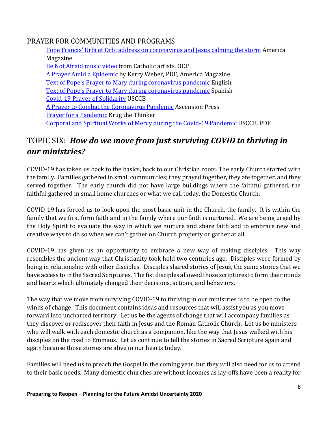#### <span id="page-7-0"></span>PRAYER FOR COMMUNITIES AND PROGRAMS

[Pope Francis' Urbi et Orbi address on coronavirus and Jesus calming the storm](https://www.americamagazine.org/faith/2020/03/27/read-pope-francis-urbi-et-orbi-address-coronavirus-and-jesus-calming-storm) America Magazine [Be Not Afraid music video](https://www.youtube.com/watch?v=RF0DIpFOoBg) from Catholic artists, OCP [A Prayer](https://www.americamagazine.org/faith/2020/03/02/coronavirus-prayer) [Amid a Epidemic](https://www.americamagazine.org/faith/2020/03/02/coronavirus-prayer) by Kerry Weber, PDF, America Magazine [Text of Pope's Prayer to Mary during coronavirus pandemic](https://www.catholicnews.com/services/englishnews/2020/text-of-popes-prayer-to-mary-during-coronavirus-pandemic.cfm) English [Text of Pope's Prayer to Mary during coronavirus pandemic](https://www.catholicnews.com/services/englishnews/2020/text-of-popes-prayer-to-mary-during-coronavirus-pandemic.cfm) Spanish [Covid-19 Prayer of Solidarity](http://www.usccb.org/prayer-and-worship/prayers-and-devotions/prayers/covid-19-prayer-of-solidarity.cfm) USCCB [A Prayer to Combat the Coronavirus Pandemic](https://ascensionpress.com/pages/a-prayer-to-combat-the-coronavirus-pandemic) Ascension Press [Prayer for a Pandemic](http://krugthethinker.com/2020/03/prayer-for-a-pandemic/) Krug the Thinker [Corporal and Spiritual Works of Mercy during the Covid-19 Pandemic](http://www.usccb.org/about/communications/upload/Corporal-and-Spiritual-Works-of-Mercy.pdf) USCCB, PDF

# TOPIC SIX: *How do we move from just surviving COVID to thriving in our ministries?*

COVID-19 has taken us back to the basics, back to our Christian roots. The early Church started with the family. Families gathered in small communities; they prayed together, they ate together, and they served together. The early church did not have large buildings where the faithful gathered, the faithful gathered in small home churches or what we call today, the Domestic Church.

COVID-19 has forced us to look upon the most basic unit in the Church, the family. It is within the family that we first form faith and in the family where our faith is nurtured. We are being urged by the Holy Spirit to evaluate the way in which we nurture and share faith and to embrace new and creative ways to do so when we can't gather on Church property or gather at all.

COVID-19 has given us an opportunity to embrace a new way of making disciples. This way resembles the ancient way that Christianity took hold two centuries ago. Disciples were formed by being in relationship with other disciples. Disciples shared stories of Jesus, the same stories that we have access to in the Sacred Scriptures. The fist disciples allowed those scriptures to form their minds and hearts which ultimately changed their decisions, actions, and behaviors.

The way that we move from surviving COVID-19 to thriving in our ministries is to be open to the winds of change. This document contains ideas and resources that will assist you as you move forward into uncharted territory. Let us be the agents of change that will accompany families as they discover or rediscover their faith in Jesus and the Roman Catholic Church. Let us be ministers who will walk with each domestic church as a companion, like the way that Jesus walked with his disciples on the road to Emmaus. Let us continue to tell the stories in Sacred Scripture again and again because those stories are alive in our hearts today.

Families will need us to preach the Gospel in the coming year, but they will also need for us to attend to their basic needs. Many domestic churches are without incomes as lay-offs have been a reality for